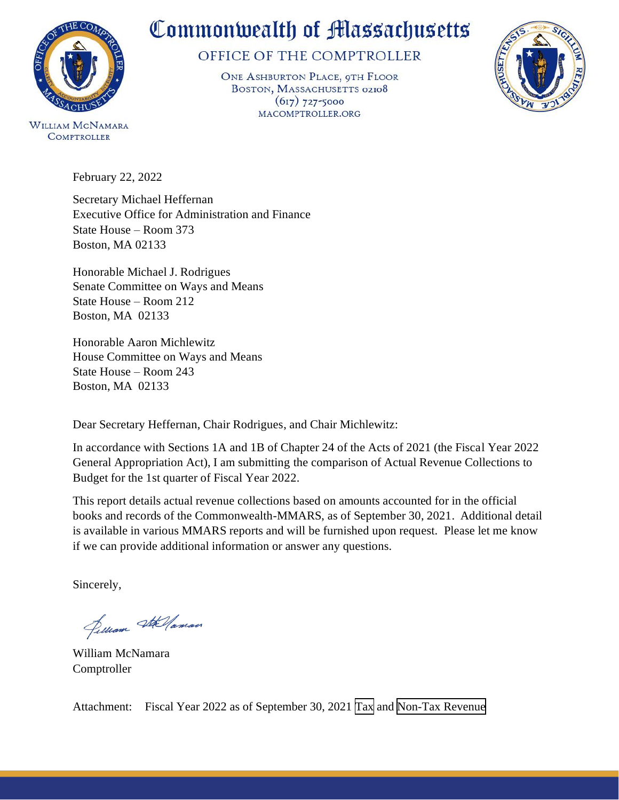

OFFICE OF THE COMPTROLLER

ONE ASHBURTON PLACE, 9TH FLOOR BOSTON, MASSACHUSETTS 02108  $(617) 727 - 5000$ MACOMPTROLLER.ORG



**WILLIAM MCNAMARA COMPTROLLER** 

February 22, 2022

Secretary Michael Heffernan Executive Office for Administration and Finance State House – Room 373 Boston, MA 02133

Honorable Michael J. Rodrigues Senate Committee on Ways and Means State House – Room 212 Boston, MA 02133

Honorable Aaron Michlewitz House Committee on Ways and Means State House – Room 243 Boston, MA 02133

Dear Secretary Heffernan, Chair Rodrigues, and Chair Michlewitz:

In accordance with Sections 1A and 1B of Chapter 24 of the Acts of 2021 (the Fiscal Year 2022 General Appropriation Act), I am submitting the comparison of Actual Revenue Collections to Budget for the 1st quarter of Fiscal Year 2022.

This report details actual revenue collections based on amounts accounted for in the official books and records of the Commonwealth-MMARS, as of September 30, 2021. Additional detail is available in various MMARS reports and will be furnished upon request. Please let me know if we can provide additional information or answer any questions.

Sincerely,

Selliam Stellaman

William McNamara Comptroller

Attachment: Fiscal Year 2022 as of September 30, 2021 [Tax](#page-2-0) and [Non-Tax Revenue](#page-3-0)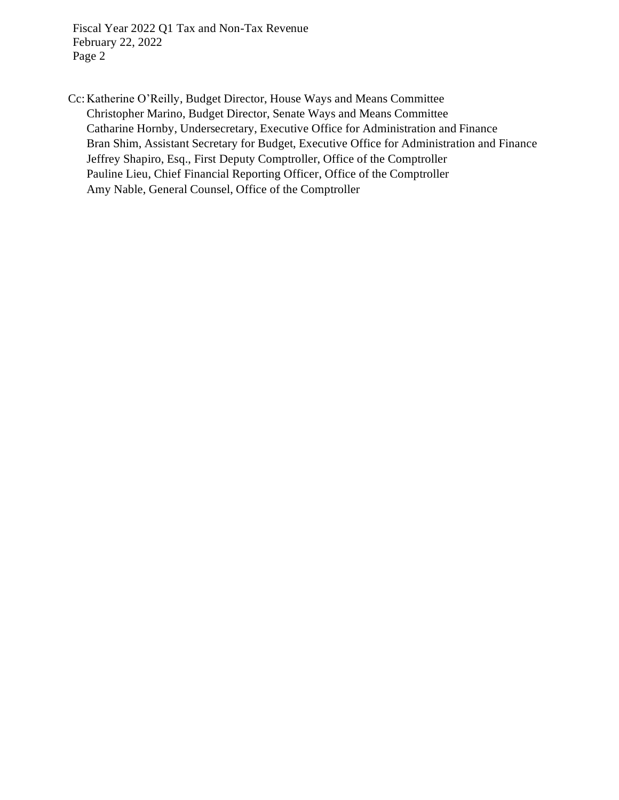Fiscal Year 2022 Q1 Tax and Non-Tax Revenue February 22, 2022 Page 2

Cc: Katherine O'Reilly, Budget Director, House Ways and Means Committee Christopher Marino, Budget Director, Senate Ways and Means Committee Catharine Hornby, Undersecretary, Executive Office for Administration and Finance Bran Shim, Assistant Secretary for Budget, Executive Office for Administration and Finance Jeffrey Shapiro, Esq., First Deputy Comptroller, Office of the Comptroller Pauline Lieu, Chief Financial Reporting Officer, Office of the Comptroller Amy Nable, General Counsel, Office of the Comptroller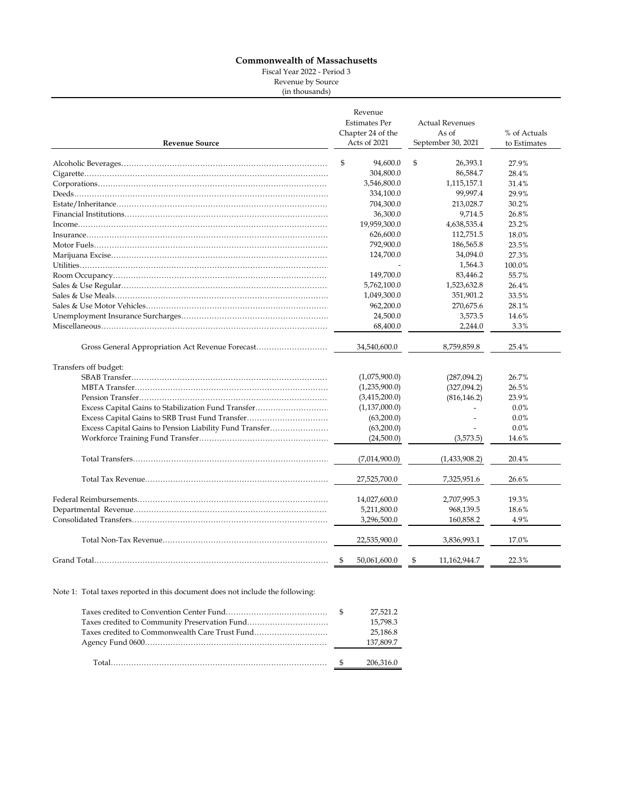Fiscal Year 2022 - Period 3

Revenue by Source (in thousands)

<span id="page-2-0"></span>

| <b>Revenue Source</b>                                   | Revenue<br><b>Estimates Per</b><br>Chapter 24 of the<br>Acts of 2021 | <b>Actual Revenues</b><br>As of<br>September 30, 2021 | % of Actuals<br>to Estimates |
|---------------------------------------------------------|----------------------------------------------------------------------|-------------------------------------------------------|------------------------------|
|                                                         | \$<br>94,600.0                                                       | \$<br>26,393.1                                        | 27.9%                        |
|                                                         | 304,800.0                                                            | 86,584.7                                              | 28.4%                        |
|                                                         | 3,546,800.0                                                          | 1,115,157.1                                           | 31.4%                        |
|                                                         | 334,100.0                                                            | 99,997.4                                              | 29.9%                        |
|                                                         | 704,300.0                                                            | 213,028.7                                             | 30.2%                        |
|                                                         | 36,300.0                                                             | 9,714.5                                               | 26.8%                        |
|                                                         | 19,959,300.0                                                         | 4,638,535.4                                           | 23.2%                        |
|                                                         | 626,600.0                                                            | 112,751.5                                             | 18.0%                        |
|                                                         | 792,900.0                                                            | 186,565.8                                             | 23.5%                        |
|                                                         | 124,700.0                                                            | 34,094.0                                              | 27.3%                        |
|                                                         |                                                                      | 1,564.3                                               | 100.0%                       |
|                                                         | 149,700.0                                                            | 83,446.2                                              | 55.7%                        |
|                                                         | 5,762,100.0                                                          | 1,523,632.8                                           | 26.4%                        |
|                                                         | 1,049,300.0                                                          | 351,901.2                                             | 33.5%                        |
|                                                         | 962,200.0                                                            | 270,675.6                                             | 28.1%                        |
|                                                         | 24,500.0                                                             | 3,573.5                                               | 14.6%                        |
|                                                         | 68,400.0                                                             | 2,244.0                                               | 3.3%                         |
| Gross General Appropriation Act Revenue Forecast        | 34,540,600.0                                                         | 8,759,859.8                                           | 25.4%                        |
| Transfers off budget:                                   |                                                                      |                                                       |                              |
|                                                         | (1,075,900.0)                                                        | (287, 094.2)                                          | 26.7%                        |
|                                                         | (1,235,900.0)                                                        | (327, 094.2)                                          | 26.5%                        |
|                                                         | (3,415,200.0)                                                        | (816, 146.2)                                          | 23.9%                        |
| Excess Capital Gains to Stabilization Fund Transfer     | (1, 137, 000.0)                                                      |                                                       | 0.0%                         |
| Excess Capital Gains to SRB Trust Fund Transfer         | (63,200.0)                                                           |                                                       | $0.0\%$                      |
| Excess Capital Gains to Pension Liability Fund Transfer | (63,200.0)                                                           |                                                       | $0.0\%$                      |
|                                                         | (24,500.0)                                                           | (3,573.5)                                             | 14.6%                        |
|                                                         | (7,014,900.0)                                                        | (1,433,908.2)                                         | 20.4%                        |
|                                                         | 27,525,700.0                                                         | 7,325,951.6                                           | 26.6%                        |
|                                                         | 14,027,600.0                                                         | 2,707,995.3                                           | 19.3%                        |
|                                                         | 5,211,800.0                                                          | 968,139.5                                             | 18.6%                        |
|                                                         | 3,296,500.0                                                          | 160,858.2                                             | 4.9%                         |
|                                                         | 22,535,900.0                                                         | 3,836,993.1                                           | 17.0%                        |
|                                                         | 50,061,600.0                                                         | 11,162,944.7<br>\$                                    | 22.3%                        |

Note 1: Total taxes reported in this document does not include the following:

| Taxes credited to Community Preservation Fund<br>Taxes credited to Commonwealth Care Trust Fund | 15.798.3<br>25.186.8<br>137,809.7 |  |
|-------------------------------------------------------------------------------------------------|-----------------------------------|--|
|                                                                                                 | 206,316.0                         |  |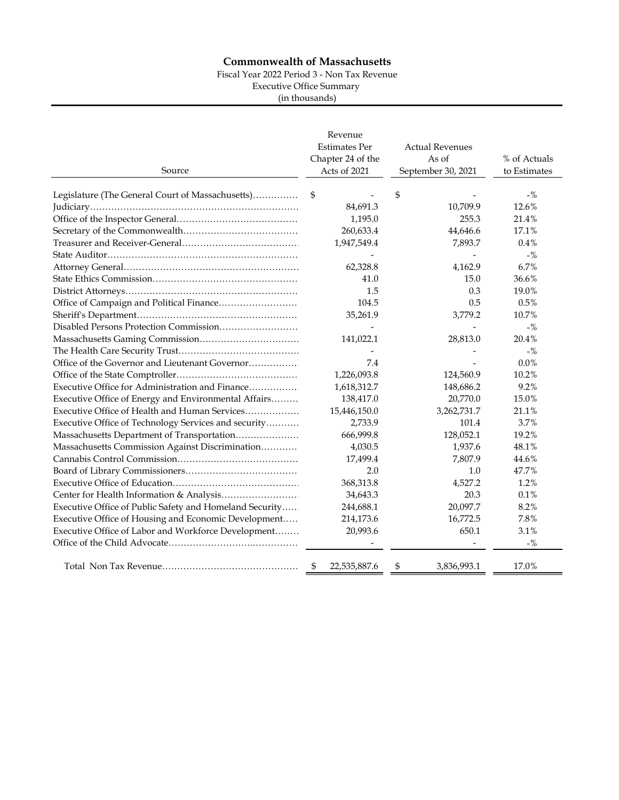Fiscal Year 2022 Period 3 - Non Tax Revenue

Executive Office Summary

(in thousands)

<span id="page-3-0"></span>

| Source                                                  | Revenue<br><b>Estimates Per</b><br>Chapter 24 of the<br>Acts of 2021 | <b>Actual Revenues</b><br>As of<br>September 30, 2021 | % of Actuals<br>to Estimates |
|---------------------------------------------------------|----------------------------------------------------------------------|-------------------------------------------------------|------------------------------|
| Legislature (The General Court of Massachusetts)        | \$                                                                   | \$                                                    | $-$ %                        |
|                                                         | 84,691.3                                                             | 10,709.9                                              | 12.6%                        |
|                                                         | 1,195.0                                                              | 255.3                                                 | 21.4%                        |
|                                                         | 260,633.4                                                            | 44,646.6                                              | 17.1%                        |
|                                                         | 1,947,549.4                                                          | 7,893.7                                               | 0.4%                         |
|                                                         |                                                                      |                                                       | $-$ %                        |
|                                                         | 62,328.8                                                             | 4,162.9                                               | 6.7%                         |
|                                                         | 41.0                                                                 | 15.0                                                  | 36.6%                        |
|                                                         | 1.5                                                                  | 0.3                                                   | 19.0%                        |
|                                                         | 104.5                                                                | 0.5                                                   | 0.5%                         |
|                                                         | 35,261.9                                                             | 3,779.2                                               | 10.7%                        |
|                                                         |                                                                      |                                                       | $-$ %                        |
|                                                         | 141,022.1                                                            | 28,813.0                                              | 20.4%                        |
|                                                         |                                                                      |                                                       | $-$ %                        |
| Office of the Governor and Lieutenant Governor          | 7.4                                                                  |                                                       | 0.0%                         |
|                                                         | 1,226,093.8                                                          | 124,560.9                                             | 10.2%                        |
| Executive Office for Administration and Finance         | 1,618,312.7                                                          | 148,686.2                                             | 9.2%                         |
| Executive Office of Energy and Environmental Affairs    | 138,417.0                                                            | 20,770.0                                              | 15.0%                        |
| Executive Office of Health and Human Services           | 15,446,150.0                                                         | 3,262,731.7                                           | 21.1%                        |
| Executive Office of Technology Services and security    | 2,733.9                                                              | 101.4                                                 | 3.7%                         |
| Massachusetts Department of Transportation              | 666,999.8                                                            | 128,052.1                                             | 19.2%                        |
| Massachusetts Commission Against Discrimination         | 4,030.5                                                              | 1,937.6                                               | 48.1%                        |
|                                                         | 17,499.4                                                             | 7,807.9                                               | 44.6%                        |
|                                                         | 2.0                                                                  | 1.0                                                   | 47.7%                        |
|                                                         | 368,313.8                                                            | 4,527.2                                               | 1.2%                         |
|                                                         | 34,643.3                                                             | 20.3                                                  | 0.1%                         |
| Executive Office of Public Safety and Homeland Security | 244,688.1                                                            | 20,097.7                                              | 8.2%                         |
| Executive Office of Housing and Economic Development    | 214,173.6                                                            | 16,772.5                                              | 7.8%                         |
| Executive Office of Labor and Workforce Development     | 20,993.6                                                             | 650.1                                                 | 3.1%                         |
|                                                         |                                                                      |                                                       | $-$ %                        |
|                                                         | 22,535,887.6<br>\$                                                   | \$<br>3,836,993.1                                     | 17.0%                        |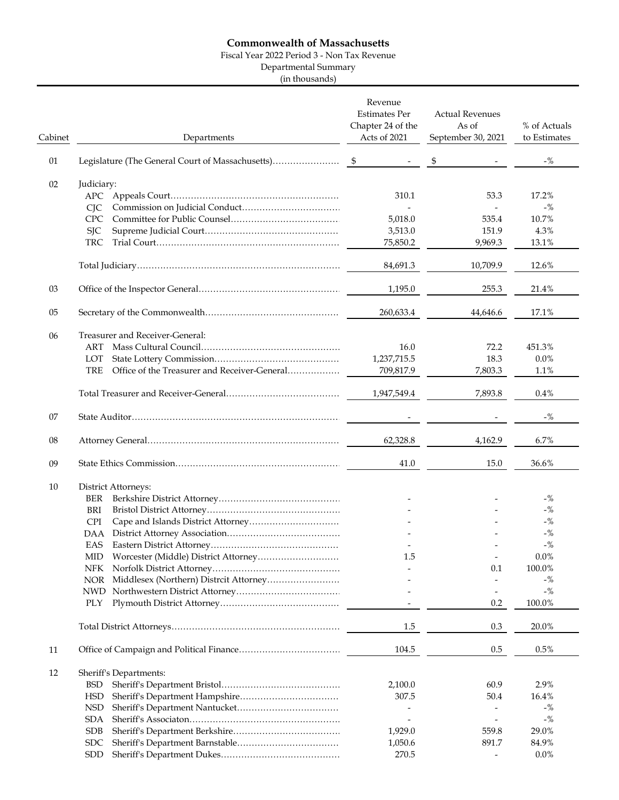Fiscal Year 2022 Period 3 - Non Tax Revenue

Departmental Summary

(in thousands)

| Cabinet | Departments                                                                                                                          | Revenue<br><b>Estimates Per</b><br>Chapter 24 of the<br>Acts of 2021 | <b>Actual Revenues</b><br>As of<br>September 30, 2021              | % of Actuals<br>to Estimates                                                               |
|---------|--------------------------------------------------------------------------------------------------------------------------------------|----------------------------------------------------------------------|--------------------------------------------------------------------|--------------------------------------------------------------------------------------------|
| 01      |                                                                                                                                      |                                                                      | \$                                                                 | $-$ %                                                                                      |
| 02      | Judiciary:<br><b>CIC</b>                                                                                                             | 310.1                                                                | 53.3                                                               | 17.2%<br>$-$ %                                                                             |
|         | <b>CPC</b><br><b>SJC</b><br><b>TRC</b>                                                                                               | 5,018.0<br>3,513.0<br>75,850.2                                       | 535.4<br>151.9<br>9,969.3                                          | 10.7%<br>4.3%<br>13.1%                                                                     |
|         |                                                                                                                                      | 84,691.3                                                             | 10,709.9                                                           | 12.6%                                                                                      |
| 03      |                                                                                                                                      | 1,195.0                                                              | 255.3                                                              | 21.4%                                                                                      |
| 05      |                                                                                                                                      | 260,633.4                                                            | 44,646.6                                                           | 17.1%                                                                                      |
| 06      | Treasurer and Receiver-General:<br>Mass Cultural Council<br>ART<br>LOT<br><b>TRE</b><br>Office of the Treasurer and Receiver-General | 16.0<br>1,237,715.5<br>709,817.9                                     | 72.2<br>18.3<br>7,803.3                                            | 451.3%<br>$0.0\%$<br>1.1%                                                                  |
|         |                                                                                                                                      | 1,947,549.4                                                          | 7,893.8                                                            | 0.4%                                                                                       |
| 07      |                                                                                                                                      |                                                                      |                                                                    | $-$ %                                                                                      |
| 08      |                                                                                                                                      | 62,328.8                                                             | 4,162.9                                                            | 6.7%                                                                                       |
| 09      |                                                                                                                                      | 41.0                                                                 | 15.0                                                               | 36.6%                                                                                      |
| 10      | District Attorneys:<br>BER<br><b>BRI</b><br><b>CPI</b><br>DAA<br>EAS<br>MID.<br>NFK<br><b>NOR</b><br>PLY                             | 1.5                                                                  | 0.1<br>$\overline{\phantom{a}}$<br>$\overline{\phantom{a}}$<br>0.2 | $-$ %<br>$-$ %<br>$-$ %<br>$-$ %<br>$-$ %<br>$0.0\%$<br>100.0%<br>$-$ %<br>$-$ %<br>100.0% |
|         |                                                                                                                                      | 1.5                                                                  | 0.3                                                                | 20.0%                                                                                      |
| 11      |                                                                                                                                      | 104.5                                                                | $0.5\,$                                                            | 0.5%                                                                                       |
| 12      | Sheriff's Departments:<br><b>BSD</b><br><b>HSD</b><br><b>NSD</b><br><b>SDA</b><br><b>SDB</b><br><b>SDC</b><br><b>SDD</b>             | 2,100.0<br>307.5<br>1,929.0<br>1,050.6<br>270.5                      | 60.9<br>50.4<br>559.8<br>891.7                                     | 2.9%<br>16.4%<br>$-$ %<br>$-$ %<br>29.0%<br>84.9%<br>$0.0\%$                               |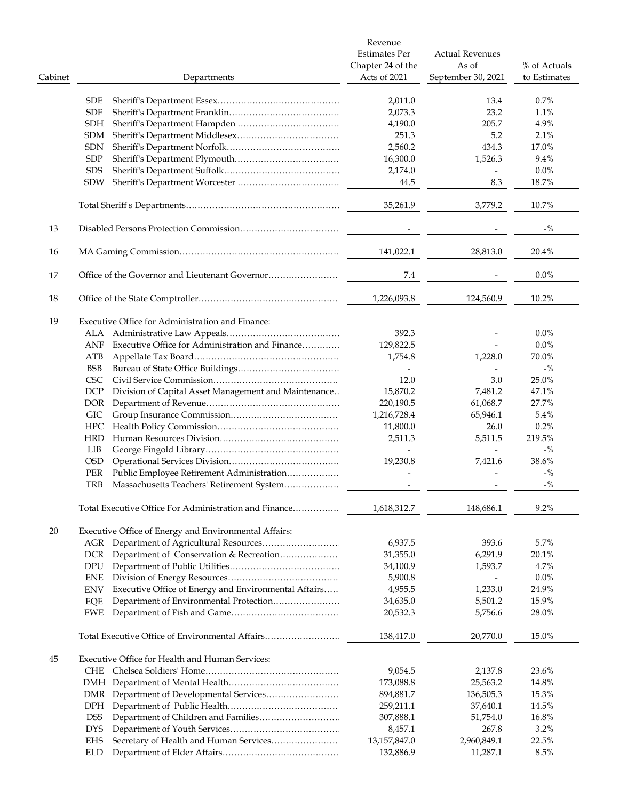|         |                                                                    | Revenue<br><b>Estimates Per</b><br>Chapter 24 of the | <b>Actual Revenues</b><br>As of | % of Actuals |
|---------|--------------------------------------------------------------------|------------------------------------------------------|---------------------------------|--------------|
| Cabinet | Departments                                                        | Acts of 2021                                         | September 30, 2021              | to Estimates |
|         | <b>SDE</b>                                                         | 2,011.0                                              | 13.4                            | 0.7%         |
|         | <b>SDF</b>                                                         | 2,073.3                                              | 23.2                            | 1.1%         |
|         | <b>SDH</b>                                                         | 4,190.0                                              | 205.7                           | 4.9%         |
|         | <b>SDM</b>                                                         | 251.3                                                | 5.2                             | 2.1%         |
|         | <b>SDN</b>                                                         | 2,560.2                                              | 434.3                           | 17.0%        |
|         |                                                                    |                                                      |                                 |              |
|         | <b>SDP</b>                                                         | 16,300.0                                             | 1,526.3                         | 9.4%         |
|         | <b>SDS</b>                                                         | 2,174.0                                              |                                 | $0.0\%$      |
|         | <b>SDW</b>                                                         | 44.5                                                 | 8.3                             | 18.7%        |
|         |                                                                    | 35,261.9                                             | 3,779.2                         | 10.7%        |
| 13      |                                                                    |                                                      |                                 | $-$ %        |
| 16      |                                                                    | 141,022.1                                            | 28,813.0                        | 20.4%        |
| 17      |                                                                    | 7.4                                                  |                                 | $0.0\%$      |
| 18      |                                                                    | 1,226,093.8                                          | 124,560.9                       | 10.2%        |
| 19      | Executive Office for Administration and Finance:                   |                                                      |                                 |              |
|         |                                                                    | 392.3                                                |                                 | $0.0\%$      |
|         | ALA                                                                |                                                      |                                 |              |
|         | Executive Office for Administration and Finance<br>ANF             | 129,822.5                                            |                                 | $0.0\%$      |
|         | ATB                                                                | 1,754.8                                              | 1,228.0                         | 70.0%        |
|         | BSB                                                                | $\overline{\phantom{a}}$                             |                                 | $-$ %        |
|         | <b>CSC</b>                                                         | 12.0                                                 | 3.0                             | 25.0%        |
|         | DCP<br>Division of Capital Asset Management and Maintenance        | 15,870.2                                             | 7,481.2                         | 47.1%        |
|         | <b>DOR</b>                                                         | 220,190.5                                            | 61,068.7                        | 27.7%        |
|         | <b>GIC</b>                                                         | 1,216,728.4                                          | 65,946.1                        | 5.4%         |
|         | ${\rm HPC}$                                                        | 11,800.0                                             | 26.0                            | 0.2%         |
|         | <b>HRD</b>                                                         | 2,511.3                                              | 5,511.5                         | 219.5%       |
|         | LIB                                                                | $\overline{\phantom{a}}$                             |                                 | $-$ %        |
|         | <b>OSD</b>                                                         | 19,230.8                                             | 7,421.6                         | 38.6%        |
|         | PER<br>Public Employee Retirement Administration                   |                                                      |                                 | $-$ %        |
|         |                                                                    |                                                      |                                 |              |
|         | TRB<br>Massachusetts Teachers' Retirement System                   |                                                      |                                 | $-$ %        |
|         | Total Executive Office For Administration and Finance              | 1,618,312.7                                          | 148,686.1                       | 9.2%         |
| 20      | Executive Office of Energy and Environmental Affairs:              |                                                      |                                 |              |
|         | Department of Agricultural Resources<br>AGR                        | 6,937.5                                              | 393.6                           | 5.7%         |
|         | Department of Conservation & Recreation<br><b>DCR</b>              | 31,355.0                                             | 6,291.9                         | 20.1%        |
|         | DPU                                                                | 34,100.9                                             | 1,593.7                         | 4.7%         |
|         | ENE                                                                | 5,900.8                                              |                                 | $0.0\%$      |
|         | Executive Office of Energy and Environmental Affairs<br><b>ENV</b> | 4,955.5                                              | 1,233.0                         | 24.9%        |
|         | Department of Environmental Protection<br>EQE                      | 34,635.0                                             | 5,501.2                         | 15.9%        |
|         | <b>FWE</b>                                                         | 20,532.3                                             | 5,756.6                         | 28.0%        |
|         | Total Executive Office of Environmental Affairs                    | 138,417.0                                            | 20,770.0                        | 15.0%        |
|         |                                                                    |                                                      |                                 |              |
| 45      | Executive Office for Health and Human Services:                    |                                                      |                                 |              |
|         | <b>CHE</b>                                                         | 9,054.5                                              | 2,137.8                         | 23.6%        |
|         |                                                                    | 173,088.8                                            | 25,563.2                        | 14.8%        |
|         | DMR                                                                | 894,881.7                                            | 136,505.3                       | 15.3%        |
|         | <b>DPH</b>                                                         | 259,211.1                                            | 37,640.1                        | 14.5%        |
|         | <b>DSS</b>                                                         | 307,888.1                                            | 51,754.0                        | 16.8%        |
|         | <b>DYS</b>                                                         | 8,457.1                                              | 267.8                           | 3.2%         |
|         | Secretary of Health and Human Services<br><b>EHS</b>               | 13,157,847.0                                         | 2,960,849.1                     | 22.5%        |
|         | <b>ELD</b>                                                         | 132,886.9                                            | 11,287.1                        | 8.5%         |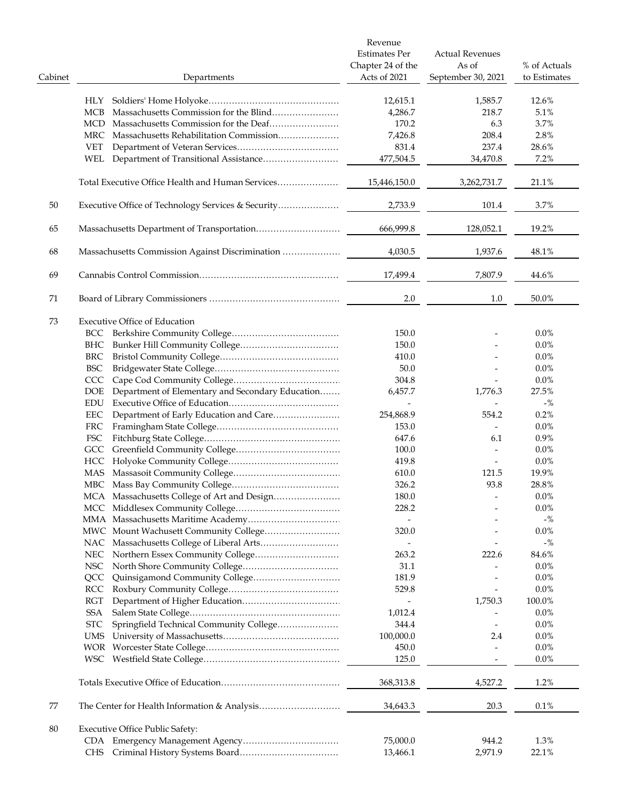|         |                                                         | Revenue<br><b>Estimates Per</b> | <b>Actual Revenues</b>   |              |
|---------|---------------------------------------------------------|---------------------------------|--------------------------|--------------|
|         |                                                         | Chapter 24 of the               | As of                    | % of Actuals |
| Cabinet | Departments                                             | Acts of 2021                    | September 30, 2021       | to Estimates |
|         | HLY                                                     | 12,615.1                        | 1,585.7                  | 12.6%        |
|         | MCB                                                     | 4,286.7                         | 218.7                    | 5.1%         |
|         | Massachusetts Commission for the Deaf<br><b>MCD</b>     | 170.2                           | 6.3                      | 3.7%         |
|         |                                                         | 7,426.8                         | 208.4                    | 2.8%         |
|         |                                                         | 831.4                           | 237.4                    |              |
|         | <b>VET</b>                                              |                                 |                          | 28.6%        |
|         |                                                         | 477,504.5                       | 34,470.8                 | 7.2%         |
|         | Total Executive Office Health and Human Services        | 15,446,150.0                    | 3,262,731.7              | 21.1%        |
| 50      | Executive Office of Technology Services & Security      | 2,733.9                         | 101.4                    | 3.7%         |
| 65      |                                                         | 666,999.8                       | 128,052.1                | 19.2%        |
| 68      | Massachusetts Commission Against Discrimination         | 4,030.5                         | 1,937.6                  | 48.1%        |
| 69      |                                                         | 17,499.4                        | 7,807.9                  | 44.6%        |
| 71      |                                                         | 2.0                             | 1.0                      | 50.0%        |
|         |                                                         |                                 |                          |              |
| 73      | <b>Executive Office of Education</b>                    | 150.0                           |                          | $0.0\%$      |
|         | BCC                                                     |                                 |                          |              |
|         | BHC                                                     | 150.0                           |                          | $0.0\%$      |
|         | BRC                                                     | 410.0                           |                          | $0.0\%$      |
|         | <b>BSC</b>                                              | 50.0                            |                          | $0.0\%$      |
|         | <b>CCC</b>                                              | 304.8                           | $\overline{\phantom{a}}$ | $0.0\%$      |
|         | Department of Elementary and Secondary Education<br>DOE | 6,457.7                         | 1,776.3                  | 27.5%        |
|         | ${\rm EDU}$                                             | $\overline{a}$                  |                          | $-$ %        |
|         | Department of Early Education and Care<br>EEC           | 254,868.9                       | 554.2                    | 0.2%         |
|         | FRC                                                     | 153.0                           | $\overline{\phantom{a}}$ | $0.0\%$      |
|         | <b>FSC</b>                                              | 647.6                           | 6.1                      | 0.9%         |
|         | GCC                                                     | 100.0                           |                          | $0.0\%$      |
|         |                                                         | 419.8                           | $\overline{\phantom{a}}$ | $0.0\%$      |
|         | MAS                                                     | 610.0                           | 121.5                    | 19.9%        |
|         |                                                         | 326.2                           | 93.8                     | 28.8%        |
|         |                                                         |                                 |                          |              |
|         | MCA Massachusetts College of Art and Design             | 180.0                           |                          | $0.0\%$      |
|         |                                                         | 228.2                           |                          | 0.0%         |
|         |                                                         | $\overline{\phantom{a}}$        |                          | $-$ %        |
|         |                                                         | 320.0                           |                          | $0.0\%$      |
|         |                                                         |                                 |                          | $-$ %        |
|         | NEC                                                     | 263.2                           | 222.6                    | 84.6%        |
|         | NSC                                                     | 31.1                            |                          | $0.0\%$      |
|         | QCC                                                     | 181.9                           |                          | $0.0\%$      |
|         | RCC                                                     | 529.8                           |                          | $0.0\%$      |
|         | RGT                                                     |                                 | 1,750.3                  | 100.0%       |
|         | SSA                                                     | 1,012.4                         |                          | $0.0\%$      |
|         |                                                         | 344.4                           | $\overline{\phantom{a}}$ | $0.0\%$      |
|         | Springfield Technical Community College<br><b>STC</b>   |                                 |                          |              |
|         | UMS                                                     | 100,000.0                       | 2.4                      | $0.0\%$      |
|         |                                                         | 450.0                           | $\overline{a}$           | $0.0\%$      |
|         |                                                         | 125.0                           | $\overline{\phantom{a}}$ | $0.0\%$      |
|         |                                                         | 368,313.8                       | 4,527.2                  | 1.2%         |
| 77      |                                                         | 34,643.3                        | 20.3                     | $0.1\%$      |
| 80      | <b>Executive Office Public Safety:</b>                  |                                 |                          |              |
|         |                                                         | 75,000.0                        | 944.2                    | 1.3%         |
|         | CHS                                                     | 13,466.1                        | 2,971.9                  | 22.1%        |
|         |                                                         |                                 |                          |              |